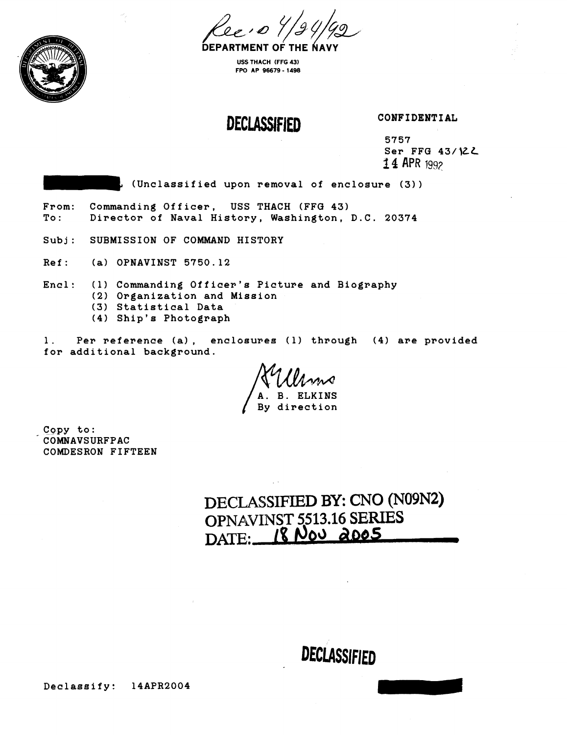

**USS THACH (FFG 43) FPO AP 96679** - **1488** 

**DECLASSIFIED** 

**CONFIDENTIAL** 

**5757 Ser FFG 43/1cZL 2 4** APR 1997

**(Unclassif iad upon ~emoval of enclosure (3)** 

**From: Commanding Officer, USS THACH (FFG 43) To** : **Director of Naval History, Washington, D.C. 20374** 

**Subj: SUBMISSION OF COMMAND HISTORY** 

**Ref: (a) OPNAVINST 5750.12** 

**Encl: (1) Commanding Officer's Picture and Biography** 

- **(2) Organization and Mission**
- **(3) Statistical Data**
- **(4) Ship's Photograph**

**1. Per reference (a)** , **enclosures** ( **1) through (4) are provided for additional background.** 

**A. B. ELKINS By direction** 

**Copy to: COMNAVSURFPAC COMDESRON FIFTEEN** 

**DECLASSIFIED BY:** CNO **(N09N2) OPNAVINST 5513.16 SERIES DATE: 1% Mod do65**  ED BY: CNO (N09N2)<br>513.16 SERIES<br>Joo 2005<br>DECLASSIFIED

**Declassify: 14APR2004**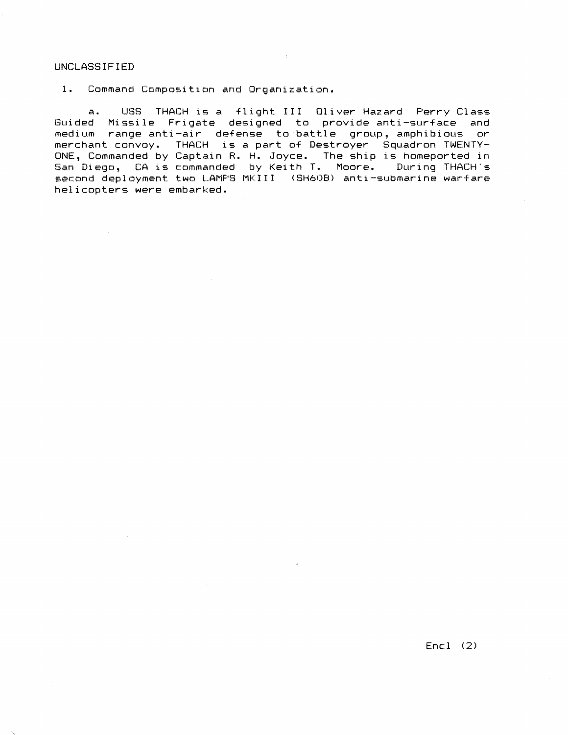#### UNCLASSIFIED

1. Command Composition and Organization.

a. LJSS THACH is a +light IT1 Oliver Hazard Perry Class Guided Missile Frigate designed to provide anti-surface and medium range anti-air defense to battle group, amphibious or merchant convoy. THACH is a part of Destroyer Squadron TWENTY-ONE, Commanded by Captain R. H. Joyce. The ship is homeported in San Diego, CA is commanded by Keith T. Moore. During THACH's second deployment two LAMPS MKIII (SH6OB) anti-submarine warfare he1 icopters were embarked.

 $Enc1 (2)$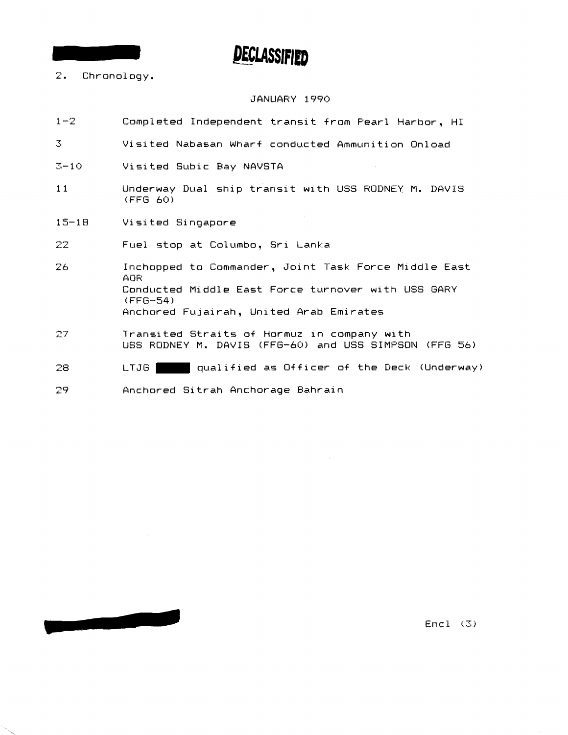- 2. Chronology.

#### JANUARY 1990

- 1-2 Completed Independent transit from Pearl Harbor, HI
- .-P .:, Visited Nabasan Wharf conducted Ammunition On1 oad
- *3-* **<sup>1</sup>r]** Visited Subic Bay NAVSTA
- 11 Underway Dual ship transit with USS RODNEY M. DAVIS (FFG **60)**
- 15-18 Visited Singapore

- 22 Fuel stop at Columbo, Sri Lanka
- 26 **Inchopped to Commander, Joint Task Force Middle East AOR** Conducted Middle East Force turnover with USS GARY (FFG-54 ) Anchored Fujairah, United Arab Emirates
- 27 Transited Straits of Hormuz in company with **USS** RODNEY M. DAVIS IFFG-60) and USS SIMPSON **(FFG 5.5)**
- LTJG qualified as Officer of the Deck (Underway) 28

Anchored Si trah Anchorage Bahrain 29

 $Enc1 (3)$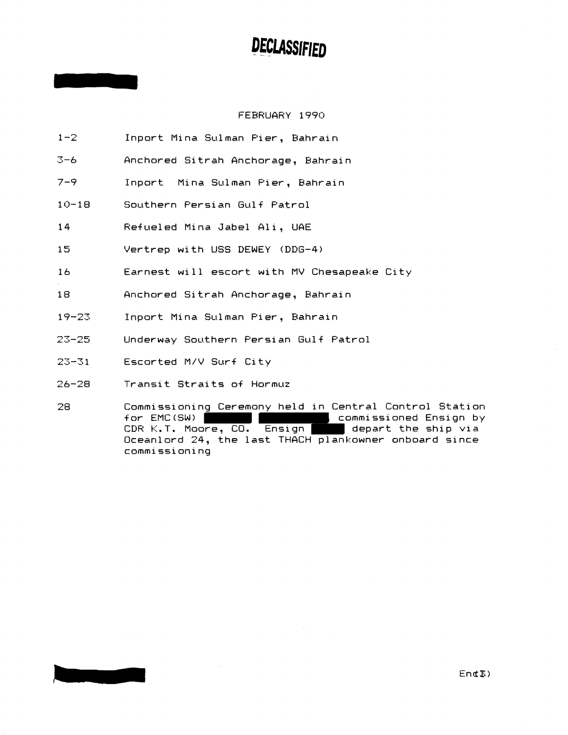#### FEBRUARY 1990

- $1 2$ Inport Mina Sulman Pier, Bahrain
- $3-6$ Anchored Sitrah Anchorage, Bahrain
- $7 9$ Inport Mina Sulman Pier, Bahrain
- Southern Persian Gulf Patrol  $10 - 18$
- $14$ Refueled Mina Jabel Ali, UAE
- $15<sub>1</sub>$ Vertrep with USS DEWEY (DDG-4)
- Earnest will escort with MV Chesapeake City  $16$
- 18 Anchored Sitrah Anchorage, Bahrain
- $19 23$ Inport Mina Sulman Pier, Bahrain
- $23 25$ Underway Southern Persian Gulf Patrol
- $23 31$ Escorted M/V Surf City
- $26 28$ Transit Straits of Hormuz
- 28 Commissioning Ceremony held in Central Control Station commissioned Ensign by<br>commissioned Ensign by<br>separt the sta for EMC(SW) CDR K.T. Moore, CO. Ensign depart the ship  $via$ Oceanlord 24, the last THACH plankowner onboard since commissioning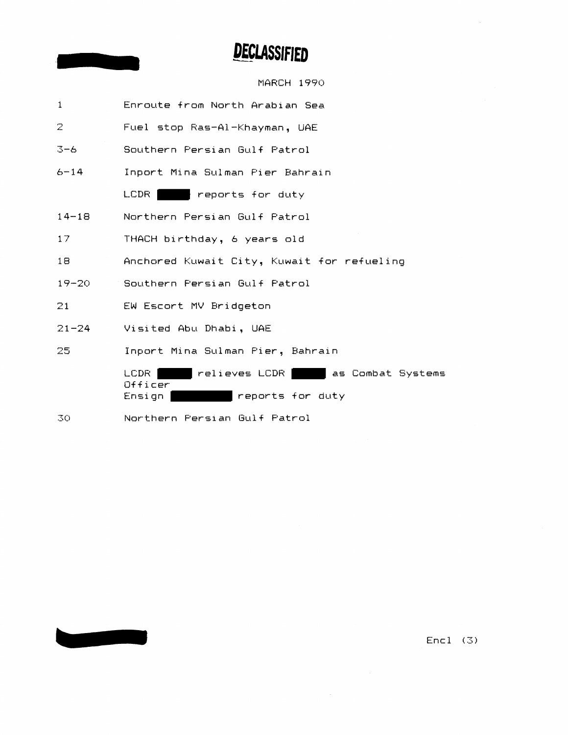MARCH 1990

| $\mathbf{1}$ | Enroute from North Arabian Sea                                                      |  |
|--------------|-------------------------------------------------------------------------------------|--|
| $\mathbb{R}$ | Fuel stop Ras-Al-Khayman, UAE                                                       |  |
| $3 - 6$      | Southern Persian Gulf Patrol                                                        |  |
| $6 - 14$     | Inport Mina Sulman Pier Bahrain                                                     |  |
|              | LCDR  <br>reports for duty                                                          |  |
| $14 - 18$    | Northern Persian Gulf Patrol                                                        |  |
| 17           | THACH birthday, 6 years old                                                         |  |
| 18           | Anchored Kuwait City, Kuwait for refueling                                          |  |
| $19 - 20$    | Southern Persian Gulf Patrol                                                        |  |
| 21           | EW Escort MV Bridgeton                                                              |  |
| $21 - 24$    | Visited Abu Dhabi, UAE                                                              |  |
| 25           | Inport Mina Sulman Pier, Bahrain                                                    |  |
|              | relieves LCDR as Combat Systems<br>LCDR<br>$0$ fficer<br>reports for duty<br>Ensign |  |
| 30           | Northern Persian Gulf Patrol                                                        |  |

 $Enc1 (3)$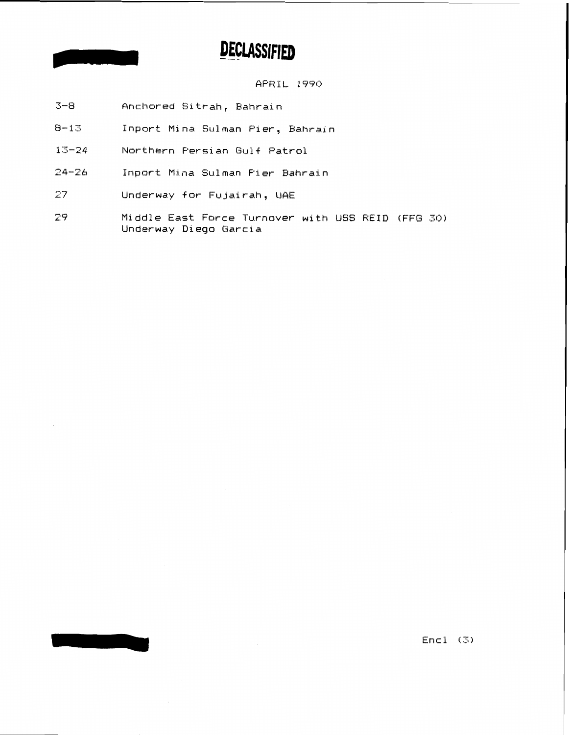APRIL 1990

- $3 8$ Anchored Sitrah, Bahrain
- $8 13$ Inport Mina Sulman Pier, Bahrain
- $13 24$ Northern Persian Gulf Patrol
- $24 26$ Inport Mina Sulman Pier Bahrain
- 27 Underway for Fujairah, UAE
- 29 Middle East Force Turnover with USS REID (FFG 30) Underway Diego Garcia

 $Enc1 (3)$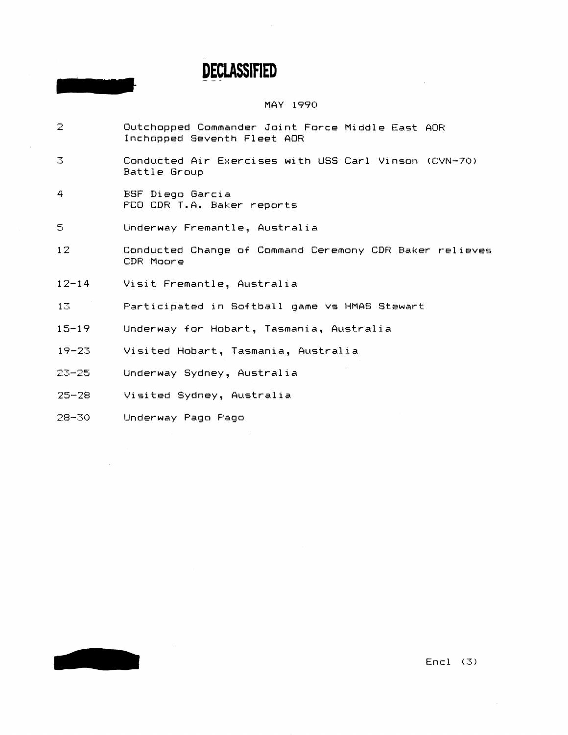#### MAY 1990

- $\mathbb{Z}$ Outchopped Commander Joint Force Middle East AOR Inchnpped Seventh Fleet AOR
- **3** Conducted Air Exercises with US5 Carl Vinson (CVN-70) Battle Group
- 4 BSF Diega Garcia F'CO CDR T.A. Baker reports
- **<sup>C</sup>**..I Underway Fremantle, Qustralia
- 12 Conducted Change of Command Ceremony CDH Baker relieves CDR Moore
- 12-14 Visit Fremantle, Australia
- 13 Participated in Softball game vs HMAS Stewart
- 15-19 Underway for Hobart, Tasmania, Australia
- 19-23 Visited Hobart, Tasmania, Australia
- 23-25 Underway Sydney, Austral ia
- **r)c LJ-28** Visited Sydney, Austral ia
- 28-30 Underway Pago Pago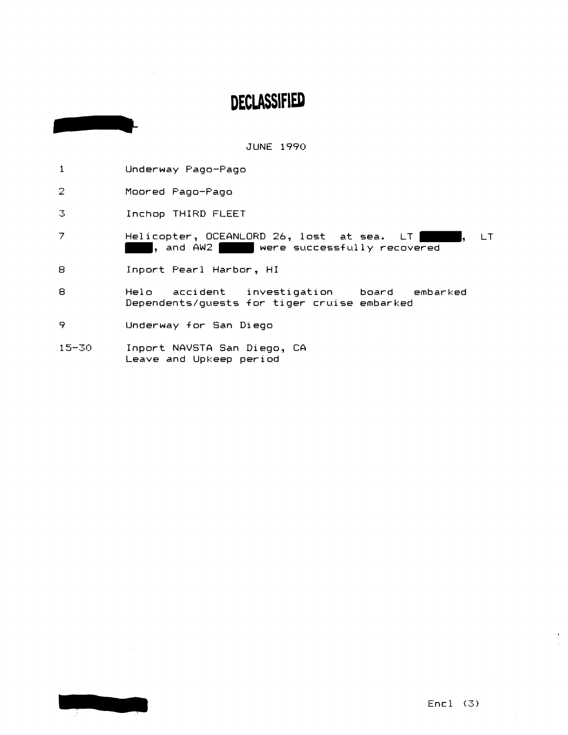**JUNE 1990** 

- $\mathbf{1}$ Underway Pago-Pago
- $\overline{2}$ Moored Pago-Pago
- $\mathbb{E}$ Inchop THIRD FLEET
- $\overline{z}$ Helicopter, OCEANLORD 26, lost at sea. LT |  $LT$ h. , and AW2 were successfully recovered
- 8 Inport Pearl Harbor, HI
- $\mathbf{s}$ accident investigation Helo board embarked Dependents/guests for tiger cruise embarked
- 9 Underway for San Diego
- $15 30$ Inport NAVSTA San Diego, CA Leave and Upkeep period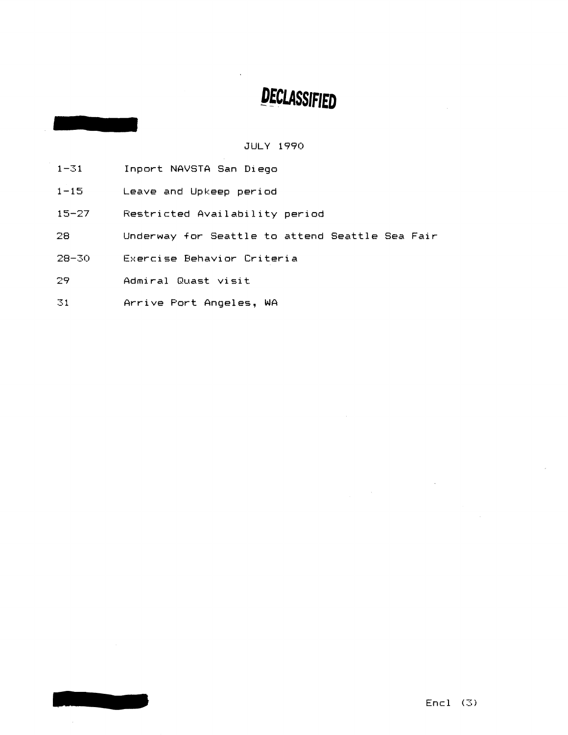#### **JULY 1990**

- $1 31$ Inport NAVSTA San Diego
- $1 15$ Leave and Upkeep period
- Restricted Availability period  $15 - 27$
- 28 Underway for Seattle to attend Seattle Sea Fair
- $28 30$ Exercise Behavior Criteria
- Admiral Quast visit 29

ويروي

 $\overline{31}$ Arrive Port Angeles, WA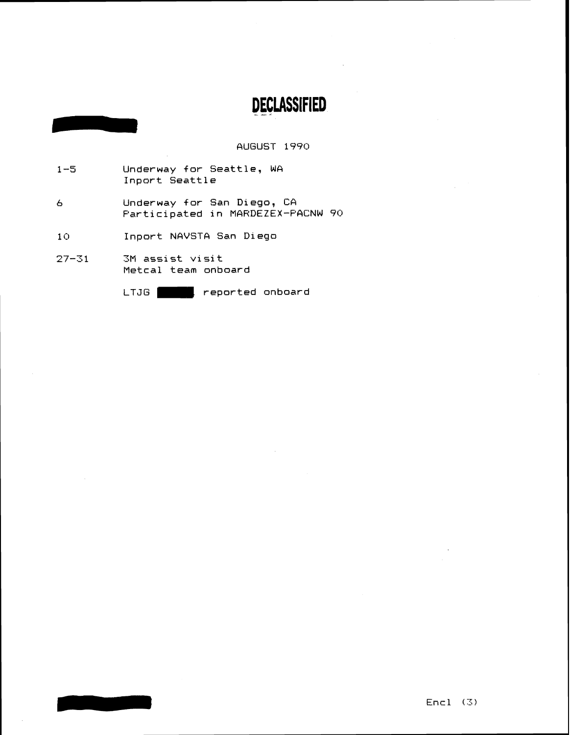AUGUST 1990

- Underway for Seattle, WA  $1 - 5$ Inport Seattle
- Underway for San Diego, CA  $\epsilon$ Participated in MARDEZEX-PACNW 90
- $10$ Inport NAVSTA San Diego
- $27 31$ 3M assist visit Metcal team onboard

LTJG **Proposed**, reported onboard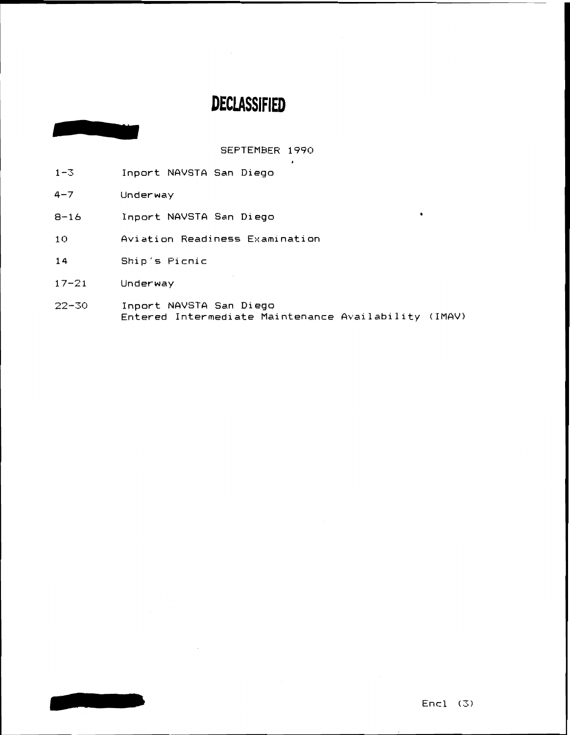SEPTEMBER 1990

- **1-3** Inport NAVSTA San Diego
- 4-7 Underway
- 8-16 Inpart NAVSTA San Diega
- 10 6 Aviation Readiness Examination
- 14 Ship's Picnic
- 17-21 Underway
- **22-35** Inpart NAVSTA San Diega Entered Intermediate Maintenance Availability (IMAV)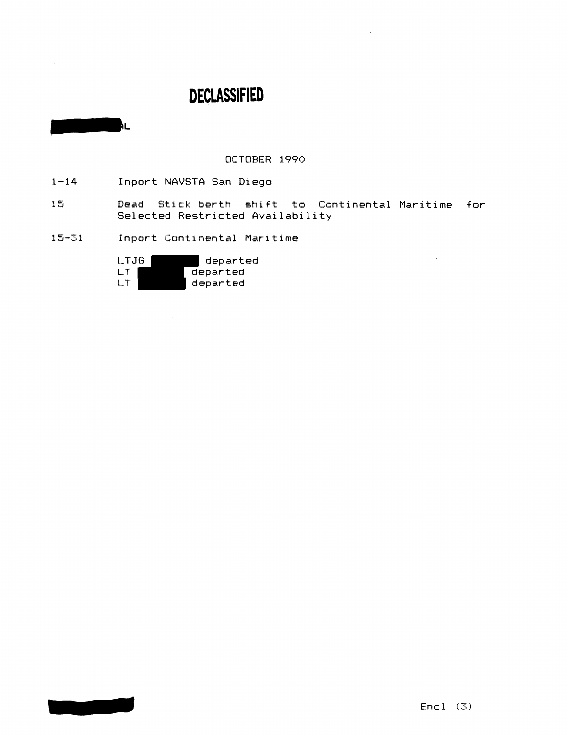$\sim 10$ 

OCTOBER **1990** 

 $1 - 14$ **Inport NAVSTA San Diega** 

ÅL.

- $15<sub>1</sub>$ **Dead Stick berth shift to Continental Maritime for Selected Restricted Availability**
- $15 31$ **Inpart Continental Maritime**

LTJG departed<br>LT departed LT departed<br>LT departed **LT departed**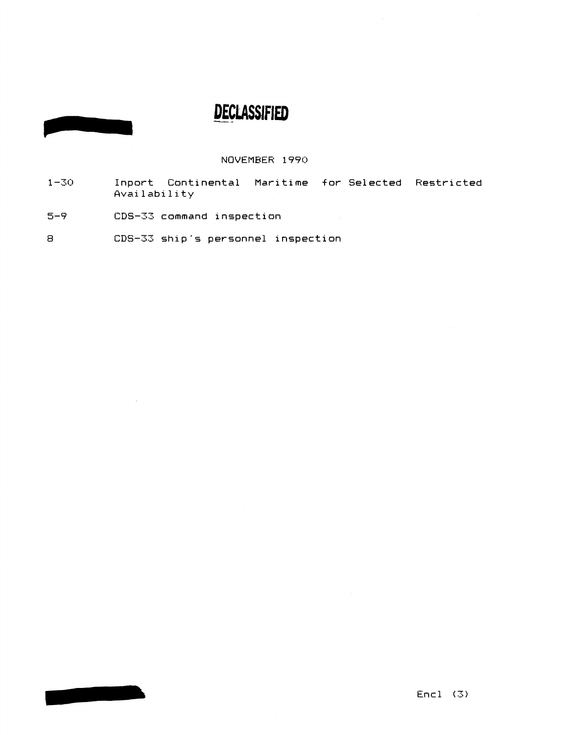**NOVEMBER 1990** 

- **1-3:) Inport Continental Maritime Sor Selected Restricted Availability**
- **r=-** .J *9* **CDS-33 command inspection**

 $\sim$ 

**8 CDS-33 ship's personnel inspection**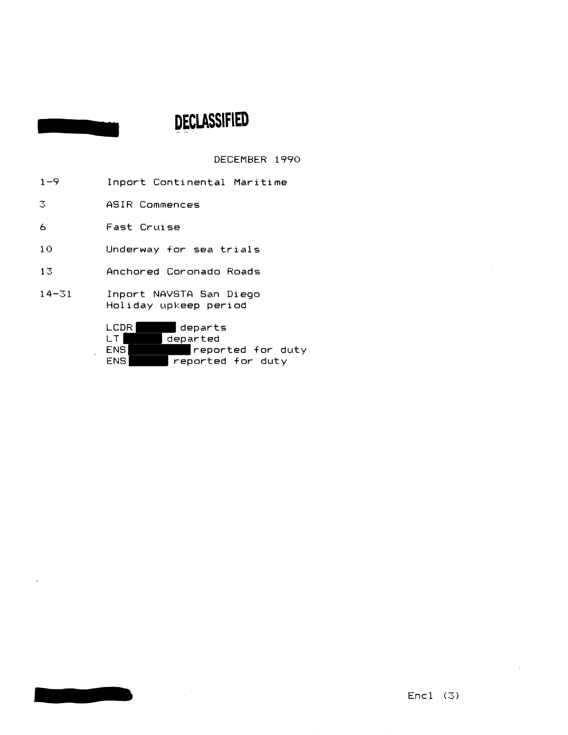DECEMBER 1990

- 1-9 Inport Continental Maritime
- $\mathbb{E}^+$ ASIR Commences
- b Fast Cruise

10 Underway for sea trials

- 13 Anchored Coronado Raads
- 14-31 **Inport NAVSTA San Diego** Hol iday upkeep period

| I CDR. | departs           |
|--------|-------------------|
| LT.    | departed          |
| ENS.   | reported for duty |
| ENS.   | reported for duty |